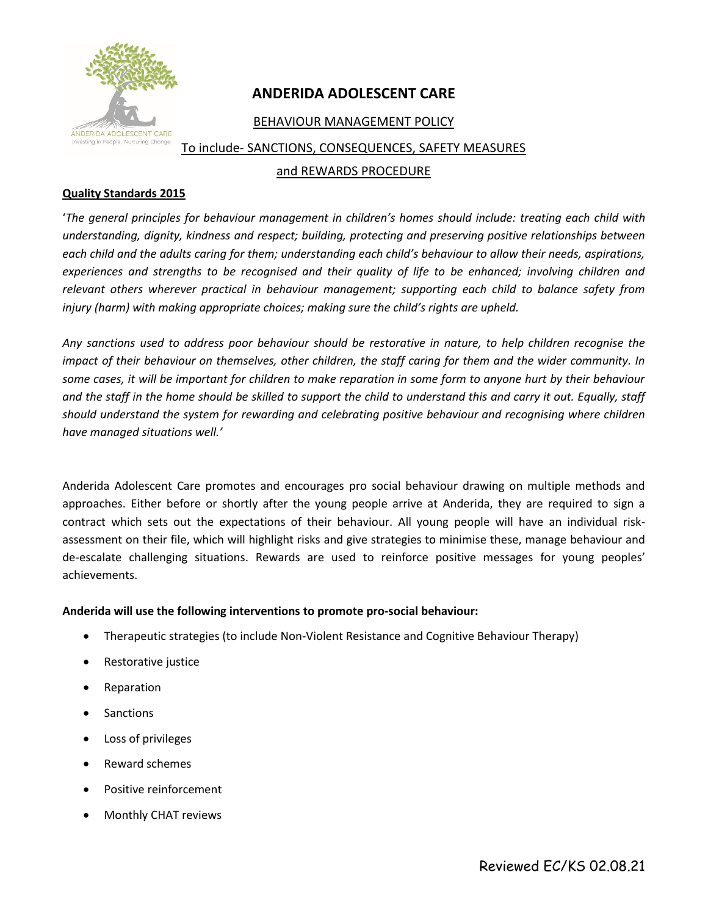

## **ANDERIDA ADOLESCENT CARE**

### BEHAVIOUR MANAGEMENT POLICY

To include- SANCTIONS, CONSEQUENCES, SAFETY MEASURES

#### and REWARDS PROCEDURE

#### **Quality Standards 2015**

'*The general principles for behaviour management in children's homes should include: treating each child with understanding, dignity, kindness and respect; building, protecting and preserving positive relationships between each child and the adults caring for them; understanding each child's behaviour to allow their needs, aspirations, experiences and strengths to be recognised and their quality of life to be enhanced; involving children and relevant others wherever practical in behaviour management; supporting each child to balance safety from injury (harm) with making appropriate choices; making sure the child's rights are upheld.* 

*Any sanctions used to address poor behaviour should be restorative in nature, to help children recognise the impact of their behaviour on themselves, other children, the staff caring for them and the wider community. In some cases, it will be important for children to make reparation in some form to anyone hurt by their behaviour and the staff in the home should be skilled to support the child to understand this and carry it out. Equally, staff should understand the system for rewarding and celebrating positive behaviour and recognising where children have managed situations well.'*

Anderida Adolescent Care promotes and encourages pro social behaviour drawing on multiple methods and approaches. Either before or shortly after the young people arrive at Anderida, they are required to sign a contract which sets out the expectations of their behaviour. All young people will have an individual riskassessment on their file, which will highlight risks and give strategies to minimise these, manage behaviour and de-escalate challenging situations. Rewards are used to reinforce positive messages for young peoples' achievements.

#### **Anderida will use the following interventions to promote pro-social behaviour:**

- Therapeutic strategies (to include Non-Violent Resistance and Cognitive Behaviour Therapy)
- Restorative justice
- **Reparation**
- Sanctions
- Loss of privileges
- Reward schemes
- Positive reinforcement
- Monthly CHAT reviews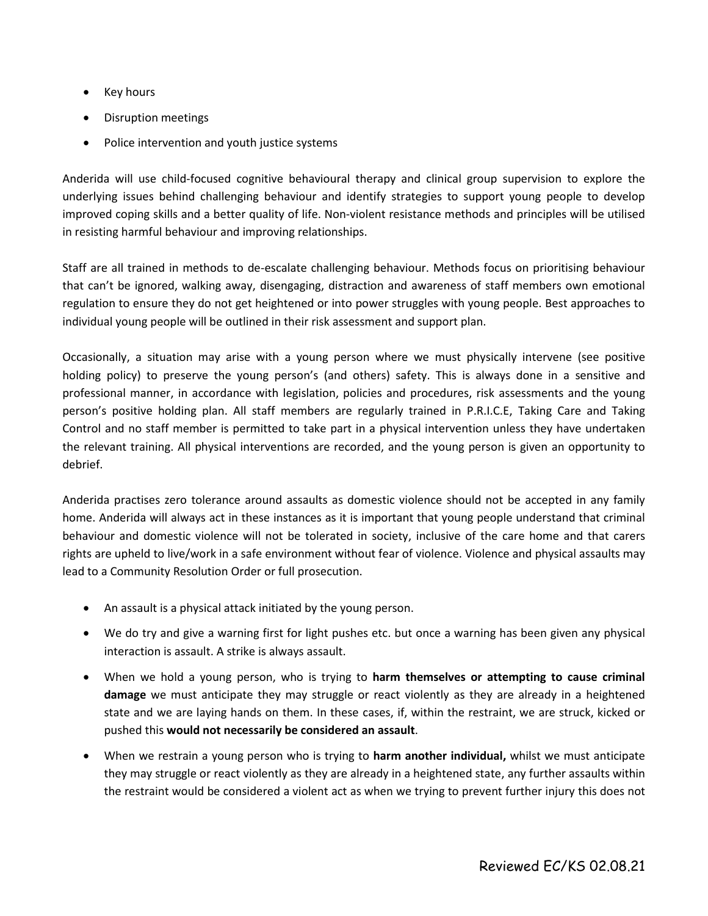- Key hours
- Disruption meetings
- Police intervention and youth justice systems

Anderida will use child-focused cognitive behavioural therapy and clinical group supervision to explore the underlying issues behind challenging behaviour and identify strategies to support young people to develop improved coping skills and a better quality of life. Non-violent resistance methods and principles will be utilised in resisting harmful behaviour and improving relationships.

Staff are all trained in methods to de-escalate challenging behaviour. Methods focus on prioritising behaviour that can't be ignored, walking away, disengaging, distraction and awareness of staff members own emotional regulation to ensure they do not get heightened or into power struggles with young people. Best approaches to individual young people will be outlined in their risk assessment and support plan.

Occasionally, a situation may arise with a young person where we must physically intervene (see positive holding policy) to preserve the young person's (and others) safety. This is always done in a sensitive and professional manner, in accordance with legislation, policies and procedures, risk assessments and the young person's positive holding plan. All staff members are regularly trained in P.R.I.C.E, Taking Care and Taking Control and no staff member is permitted to take part in a physical intervention unless they have undertaken the relevant training. All physical interventions are recorded, and the young person is given an opportunity to debrief.

Anderida practises zero tolerance around assaults as domestic violence should not be accepted in any family home. Anderida will always act in these instances as it is important that young people understand that criminal behaviour and domestic violence will not be tolerated in society, inclusive of the care home and that carers rights are upheld to live/work in a safe environment without fear of violence. Violence and physical assaults may lead to a Community Resolution Order or full prosecution.

- An assault is a physical attack initiated by the young person.
- We do try and give a warning first for light pushes etc. but once a warning has been given any physical interaction is assault. A strike is always assault.
- When we hold a young person, who is trying to **harm themselves or attempting to cause criminal damage** we must anticipate they may struggle or react violently as they are already in a heightened state and we are laying hands on them. In these cases, if, within the restraint, we are struck, kicked or pushed this **would not necessarily be considered an assault**.
- When we restrain a young person who is trying to **harm another individual,** whilst we must anticipate they may struggle or react violently as they are already in a heightened state, any further assaults within the restraint would be considered a violent act as when we trying to prevent further injury this does not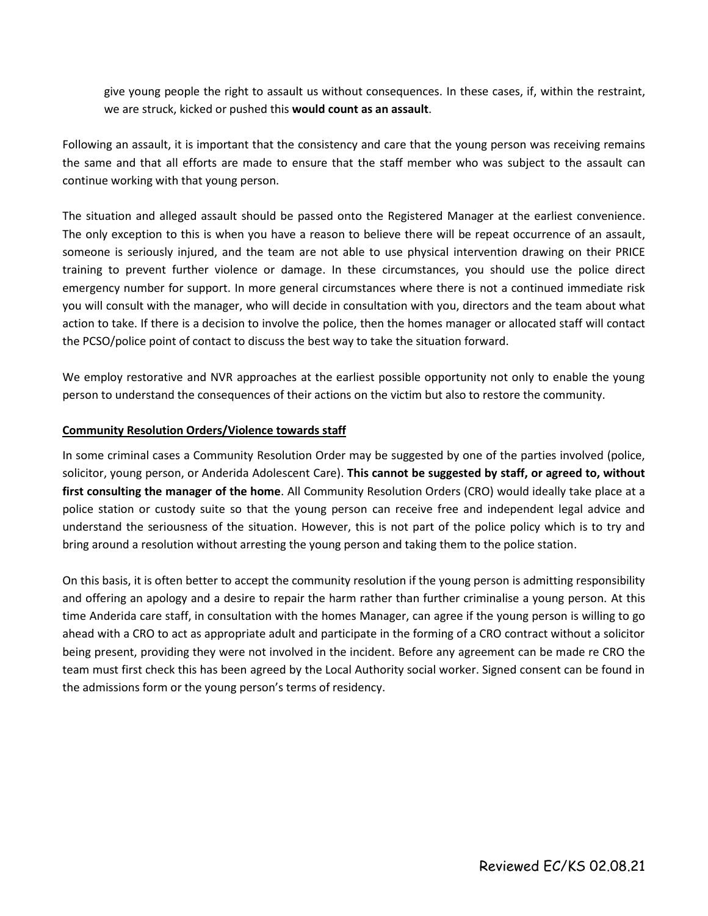give young people the right to assault us without consequences. In these cases, if, within the restraint, we are struck, kicked or pushed this **would count as an assault**.

Following an assault, it is important that the consistency and care that the young person was receiving remains the same and that all efforts are made to ensure that the staff member who was subject to the assault can continue working with that young person.

The situation and alleged assault should be passed onto the Registered Manager at the earliest convenience. The only exception to this is when you have a reason to believe there will be repeat occurrence of an assault, someone is seriously injured, and the team are not able to use physical intervention drawing on their PRICE training to prevent further violence or damage. In these circumstances, you should use the police direct emergency number for support. In more general circumstances where there is not a continued immediate risk you will consult with the manager, who will decide in consultation with you, directors and the team about what action to take. If there is a decision to involve the police, then the homes manager or allocated staff will contact the PCSO/police point of contact to discuss the best way to take the situation forward.

We employ restorative and NVR approaches at the earliest possible opportunity not only to enable the young person to understand the consequences of their actions on the victim but also to restore the community.

#### **Community Resolution Orders/Violence towards staff**

In some criminal cases a Community Resolution Order may be suggested by one of the parties involved (police, solicitor, young person, or Anderida Adolescent Care). **This cannot be suggested by staff, or agreed to, without first consulting the manager of the home**. All Community Resolution Orders (CRO) would ideally take place at a police station or custody suite so that the young person can receive free and independent legal advice and understand the seriousness of the situation. However, this is not part of the police policy which is to try and bring around a resolution without arresting the young person and taking them to the police station.

On this basis, it is often better to accept the community resolution if the young person is admitting responsibility and offering an apology and a desire to repair the harm rather than further criminalise a young person. At this time Anderida care staff, in consultation with the homes Manager, can agree if the young person is willing to go ahead with a CRO to act as appropriate adult and participate in the forming of a CRO contract without a solicitor being present, providing they were not involved in the incident. Before any agreement can be made re CRO the team must first check this has been agreed by the Local Authority social worker. Signed consent can be found in the admissions form or the young person's terms of residency.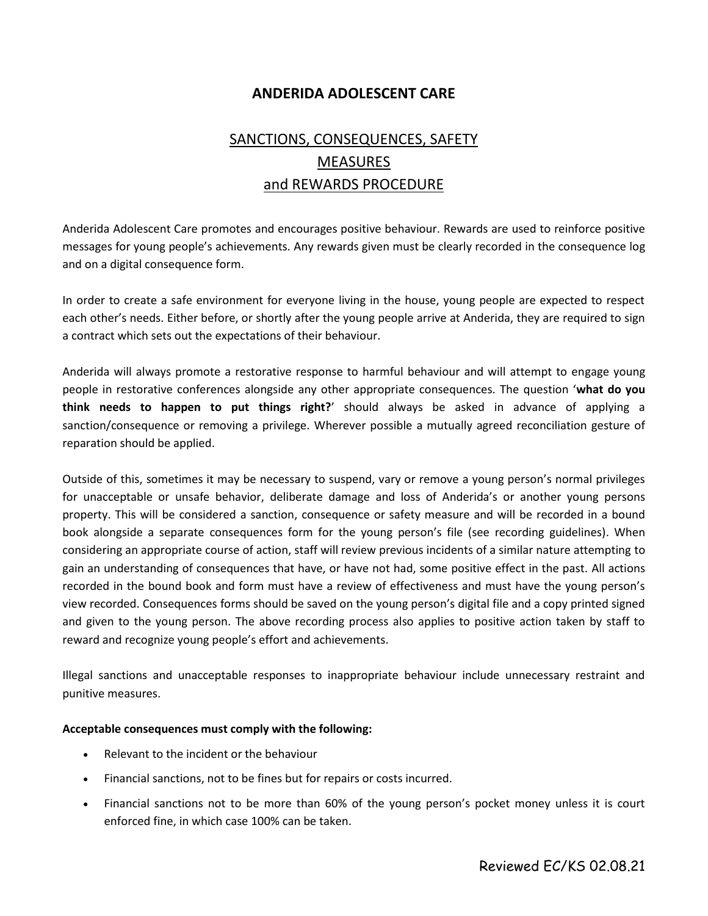## **ANDERIDA ADOLESCENT CARE**

# SANCTIONS, CONSEQUENCES, SAFETY **MEASURES** and REWARDS PROCEDURE

Anderida Adolescent Care promotes and encourages positive behaviour. Rewards are used to reinforce positive messages for young people's achievements. Any rewards given must be clearly recorded in the consequence log and on a digital consequence form.

In order to create a safe environment for everyone living in the house, young people are expected to respect each other's needs. Either before, or shortly after the young people arrive at Anderida, they are required to sign a contract which sets out the expectations of their behaviour.

Anderida will always promote a restorative response to harmful behaviour and will attempt to engage young people in restorative conferences alongside any other appropriate consequences. The question '**what do you think needs to happen to put things right?**' should always be asked in advance of applying a sanction/consequence or removing a privilege. Wherever possible a mutually agreed reconciliation gesture of reparation should be applied.

Outside of this, sometimes it may be necessary to suspend, vary or remove a young person's normal privileges for unacceptable or unsafe behavior, deliberate damage and loss of Anderida's or another young persons property. This will be considered a sanction, consequence or safety measure and will be recorded in a bound book alongside a separate consequences form for the young person's file (see recording guidelines). When considering an appropriate course of action, staff will review previous incidents of a similar nature attempting to gain an understanding of consequences that have, or have not had, some positive effect in the past. All actions recorded in the bound book and form must have a review of effectiveness and must have the young person's view recorded. Consequences forms should be saved on the young person's digital file and a copy printed signed and given to the young person. The above recording process also applies to positive action taken by staff to reward and recognize young people's effort and achievements.

Illegal sanctions and unacceptable responses to inappropriate behaviour include unnecessary restraint and punitive measures.

#### **Acceptable consequences must comply with the following:**

- Relevant to the incident or the behaviour
- Financial sanctions, not to be fines but for repairs or costs incurred.
- Financial sanctions not to be more than 60% of the young person's pocket money unless it is court enforced fine, in which case 100% can be taken.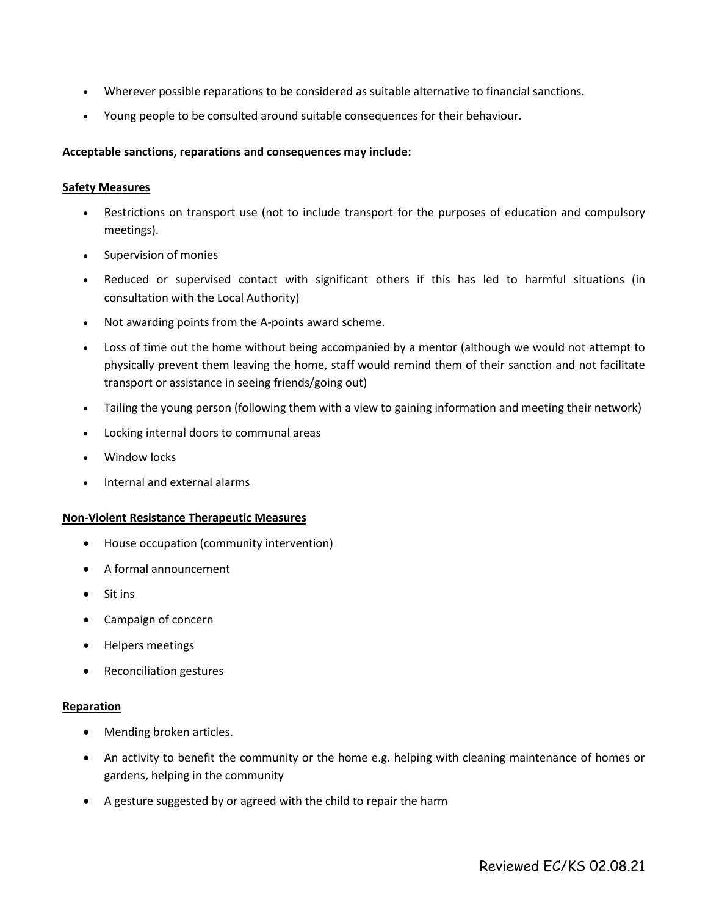- Wherever possible reparations to be considered as suitable alternative to financial sanctions.
- Young people to be consulted around suitable consequences for their behaviour.

#### **Acceptable sanctions, reparations and consequences may include:**

#### **Safety Measures**

- Restrictions on transport use (not to include transport for the purposes of education and compulsory meetings).
- Supervision of monies
- Reduced or supervised contact with significant others if this has led to harmful situations (in consultation with the Local Authority)
- Not awarding points from the A-points award scheme.
- Loss of time out the home without being accompanied by a mentor (although we would not attempt to physically prevent them leaving the home, staff would remind them of their sanction and not facilitate transport or assistance in seeing friends/going out)
- Tailing the young person (following them with a view to gaining information and meeting their network)
- Locking internal doors to communal areas
- Window locks
- Internal and external alarms

#### **Non-Violent Resistance Therapeutic Measures**

- House occupation (community intervention)
- A formal announcement
- Sit ins
- Campaign of concern
- Helpers meetings
- Reconciliation gestures

#### **Reparation**

- Mending broken articles.
- An activity to benefit the community or the home e.g. helping with cleaning maintenance of homes or gardens, helping in the community
- A gesture suggested by or agreed with the child to repair the harm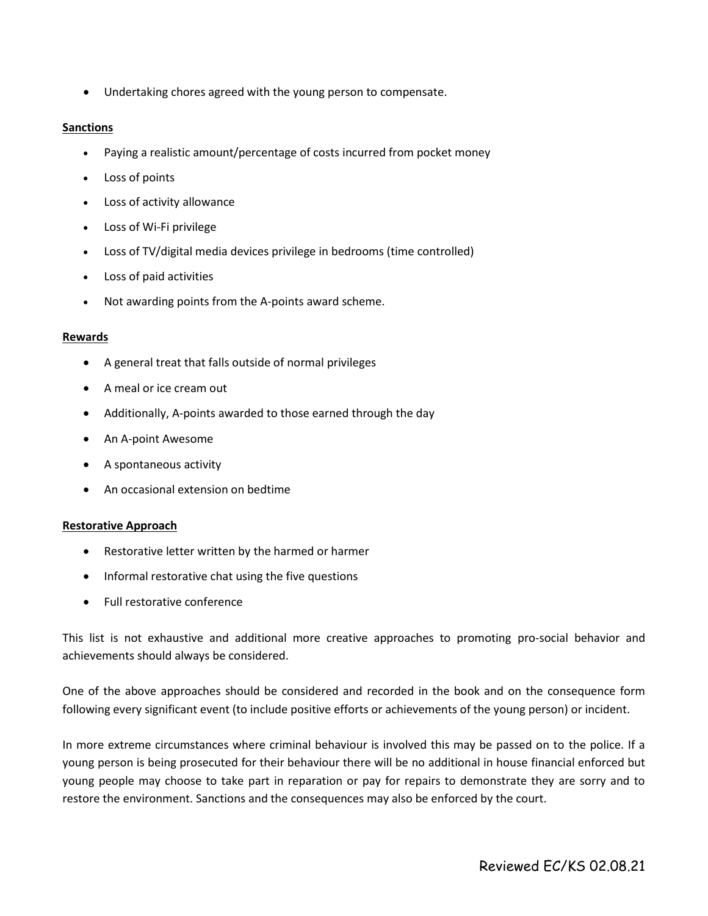• Undertaking chores agreed with the young person to compensate.

#### **Sanctions**

- Paying a realistic amount/percentage of costs incurred from pocket money
- Loss of points
- Loss of activity allowance
- Loss of Wi-Fi privilege
- Loss of TV/digital media devices privilege in bedrooms (time controlled)
- Loss of paid activities
- Not awarding points from the A-points award scheme.

#### **Rewards**

- A general treat that falls outside of normal privileges
- A meal or ice cream out
- Additionally, A-points awarded to those earned through the day
- An A-point Awesome
- A spontaneous activity
- An occasional extension on bedtime

#### **Restorative Approach**

- Restorative letter written by the harmed or harmer
- Informal restorative chat using the five questions
- Full restorative conference

This list is not exhaustive and additional more creative approaches to promoting pro-social behavior and achievements should always be considered.

One of the above approaches should be considered and recorded in the book and on the consequence form following every significant event (to include positive efforts or achievements of the young person) or incident.

In more extreme circumstances where criminal behaviour is involved this may be passed on to the police. If a young person is being prosecuted for their behaviour there will be no additional in house financial enforced but young people may choose to take part in reparation or pay for repairs to demonstrate they are sorry and to restore the environment. Sanctions and the consequences may also be enforced by the court.